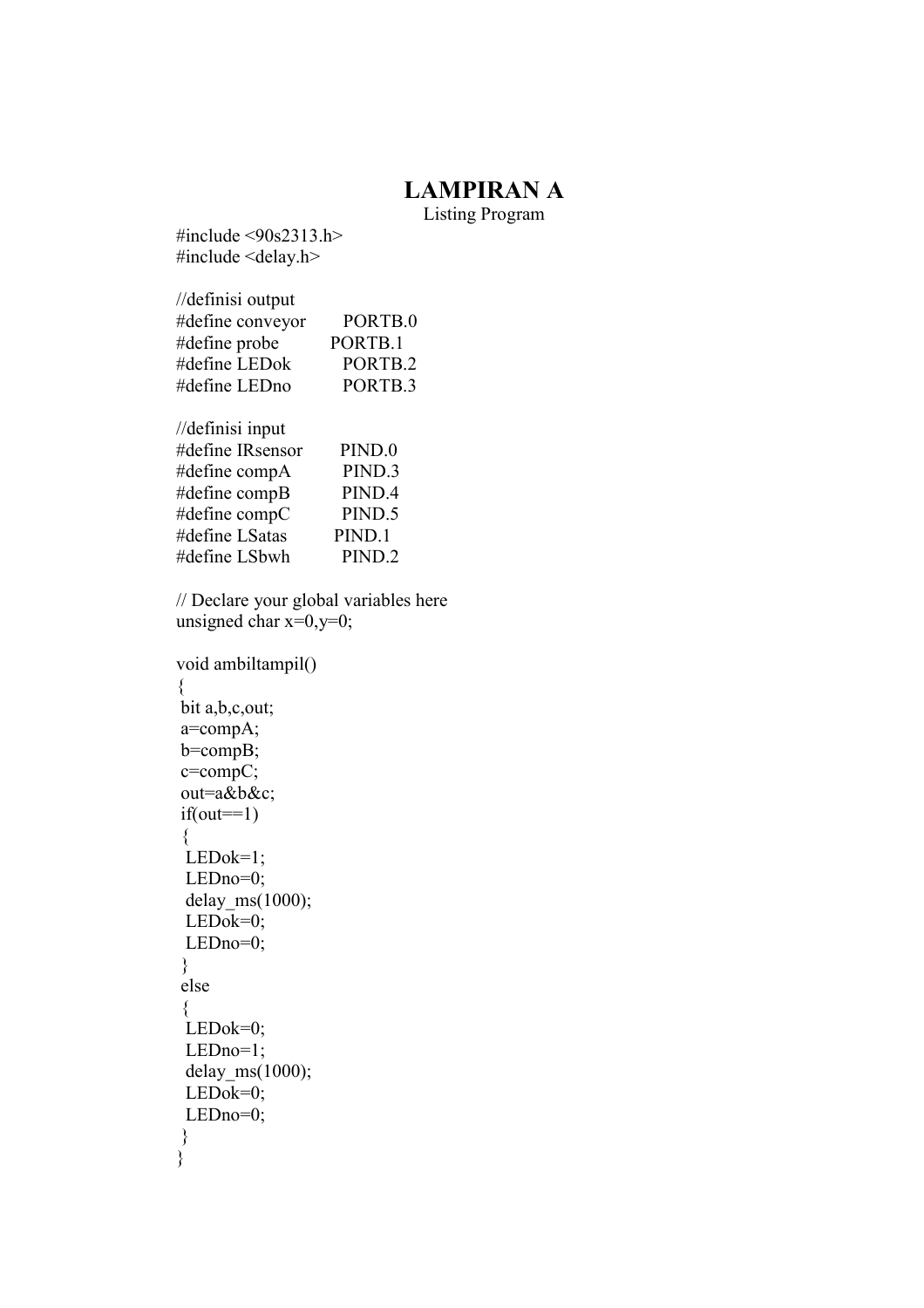## LAMPIRAN A

Listing Program

#include <90s2313.h> #include <delay.h>

| //definisi output |                    |
|-------------------|--------------------|
| #define conveyor  | PORTB.0            |
| #define probe     | PORTB.1            |
| #define LEDok     | PORTB.2            |
| #define LEDno     | PORTB <sub>3</sub> |
| //definisi input  |                    |
|                   |                    |

| #define IRsensor | PIND.0             |
|------------------|--------------------|
| #define compA    | PIND <sub>3</sub>  |
| #define compB    | PIND.4             |
| #define $compC$  | PIND.5             |
| #define LSatas   | PIND.1             |
| #define LSbwh    | PIND <sub>.2</sub> |

// Declare your global variables here unsigned char  $x=0, y=0$ ;

```
void ambiltampil() 
{ 
 bit a,b,c,out; 
 a=compA; 
 b=compB; 
 c=compC; 
 out=a&b&c; 
if(out==1) { 
  LEDok=1; 
  LEDno=0; 
  delay_ms(1000); 
  LEDok=0; 
  LEDno=0; 
 } 
 else 
  { 
  LEDok=0; 
  LEDno=1; 
  delay_ms(1000); 
  LEDok=0; 
  LEDno=0; 
 } 
}
```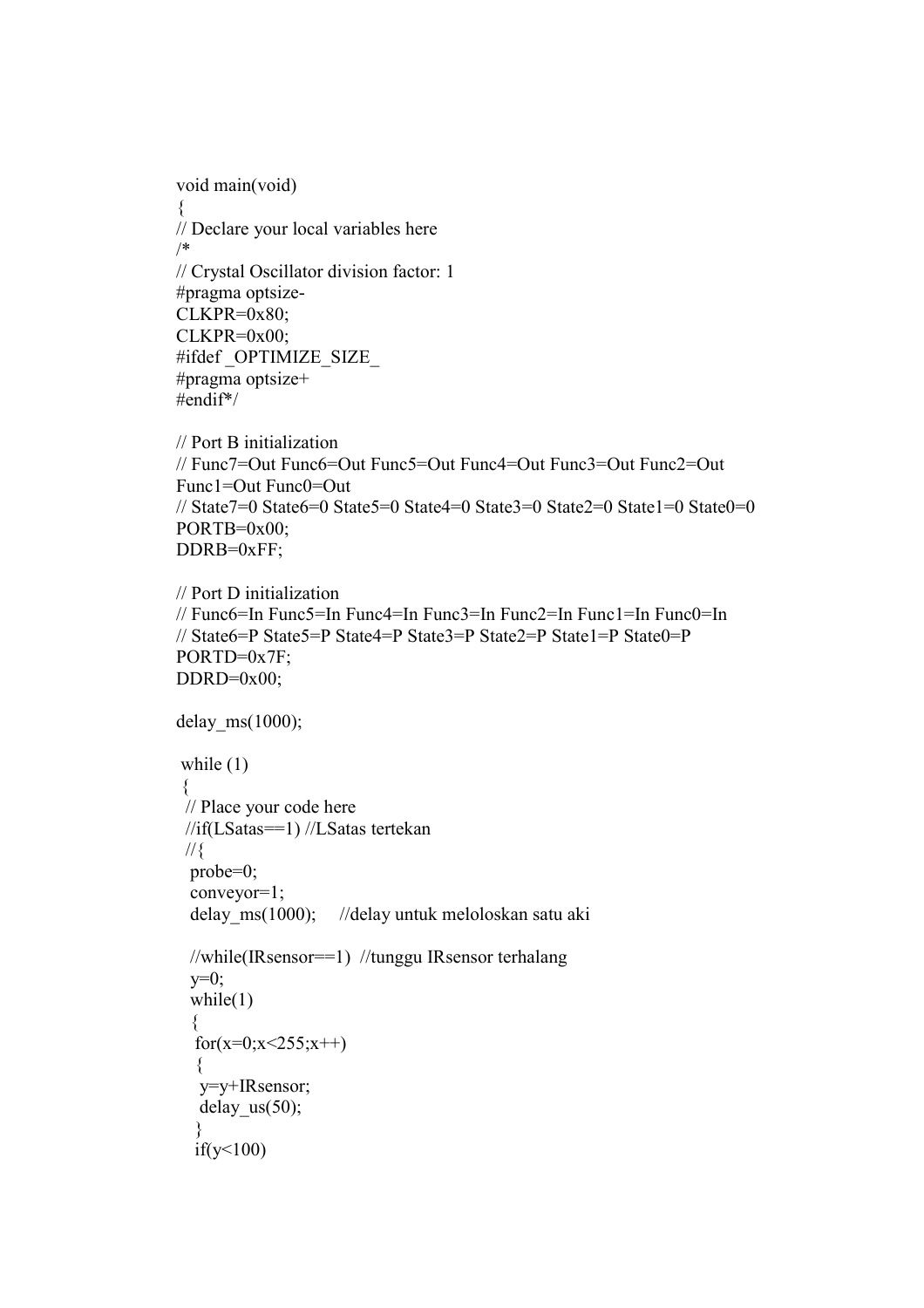```
void main(void) 
{ 
// Declare your local variables here 
/* 
// Crystal Oscillator division factor: 1 
#pragma optsize-
CLKPR=0x80; 
CLKPR=0x00; 
#ifdef _OPTIMIZE_SIZE_ 
#pragma optsize+ 
#endif*/ 
// Port B initialization 
// Func7=Out Func6=Out Func5=Out Func4=Out Func3=Out Func2=Out 
Func1=Out Func0=Out 
// State7=0 State6=0 State5=0 State4=0 State3=0 State2=0 State1=0 State0=0 
PORTB=0x00;
```

```
DDRB=0xFF;
```

```
// Port D initialization 
// Func6=In Func5=In Func4=In Func3=In Func2=In Func1=In Func0=In 
// State6=P State5=P State4=P State3=P State2=P State1=P State0=P 
PORTD=0x7F; 
DDRD=0x00;
```

```
delay ms(1000);
while (1)\{ // Place your code here 
  //if(LSatas==1) //LSatas tertekan 
 \frac{1}{3} probe=0; 
  conveyor=1; 
 delay ms(1000); //delay untuk meloloskan satu aki
  //while(IRsensor==1) //tunggu IRsensor terhalang 
 y=0;
  while(1)\left\{ \right.for(x=0;x < 255;x + +)
\{ y=y+IRsensor; 
   delay us(50);
 } 
  if(y<100)
```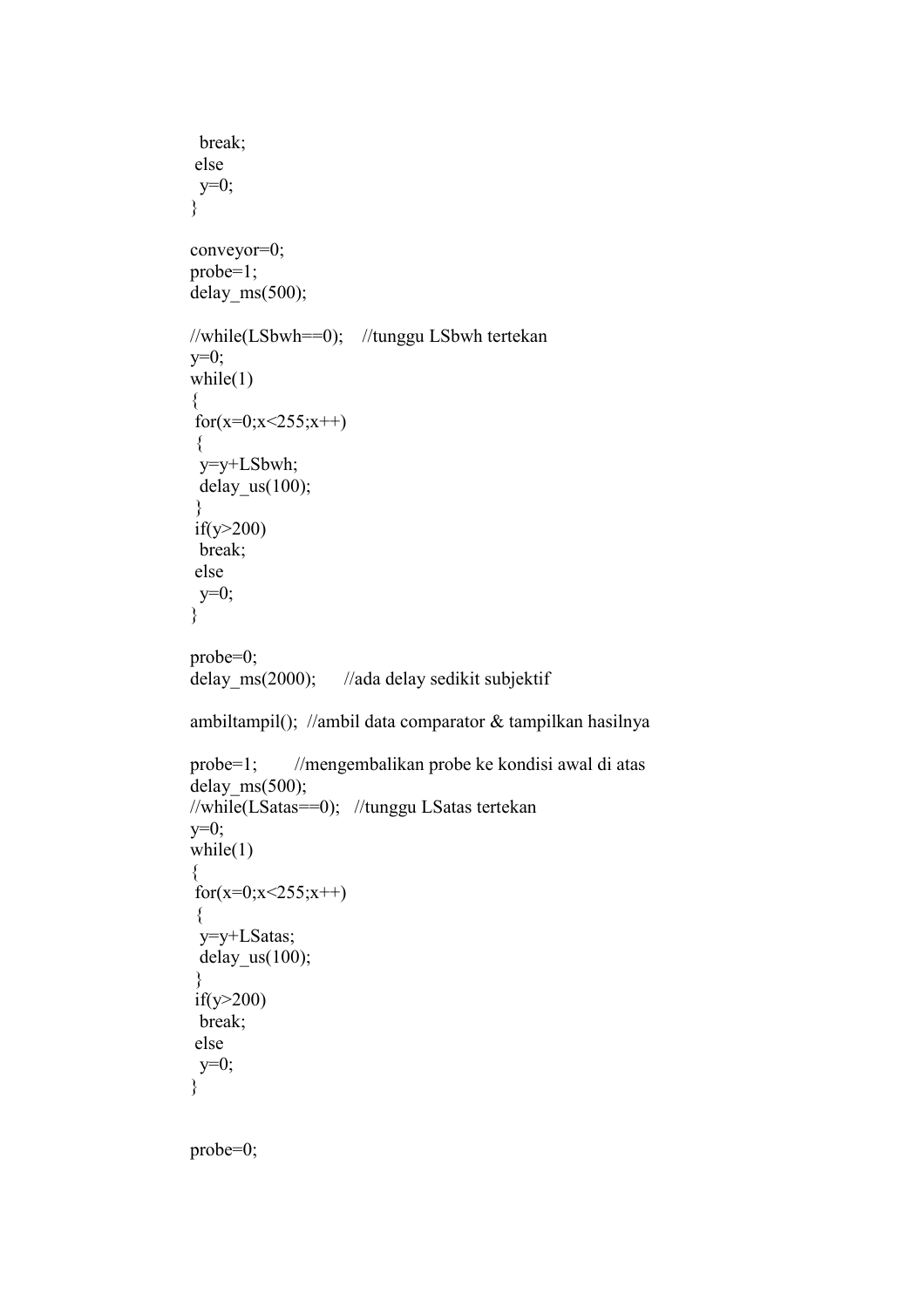```
 break; 
 else 
 y=0; } 
 conveyor=0; 
 probe=1; 
delay ms(500);
 //while(LSbwh==0); //tunggu LSbwh tertekan 
y=0;
while(1)\{for(x=0;x<255;x++)
  { 
  y=y+LSbwh; 
  delay_us(100); 
 } 
 if(y>200) 
  break; 
 else 
  y=0; 
 } 
 probe=0; 
delay ms(2000); //ada delay sedikit subjektif
 ambiltampil(); //ambil data comparator & tampilkan hasilnya 
 probe=1; //mengembalikan probe ke kondisi awal di atas 
delay ms(500);
 //while(LSatas==0); //tunggu LSatas tertekan 
y=0;
while(1)\{for(x=0;x<255;x++)
\{ y=y+LSatas; 
  delay_us(100); 
 } 
 if(y>200) 
  break; 
 else 
 y=0; 
 } 
 probe=0;
```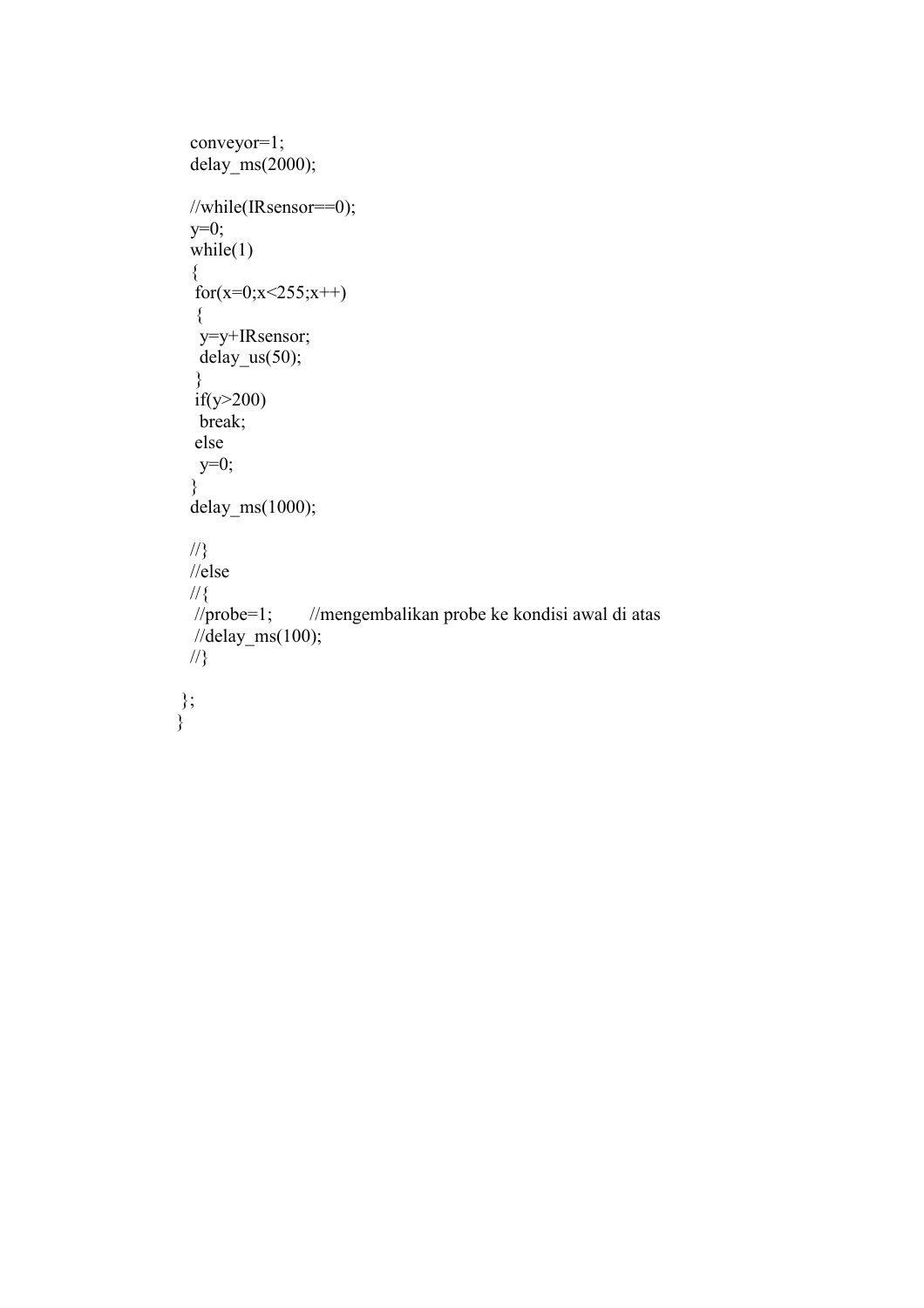```
 conveyor=1; 
 delay_{ms}(2000); //while(IRsensor==0); 
 y=0;
 while(1) { 
  for(x=0;x<255;x++)
   { 
   y=y+IRsensor; 
   delay_us(50); 
   } 
  if(y>200)break;<br>else
 else 
y=0;
 } 
  delay_ms(1000); 
 \mathcal{U}\} //else 
 \frac{1}{2} //probe=1;
                  //mengembalikan probe ke kondisi awal di atas
 /delay_ms(100);
  //} 
 }; 
}
```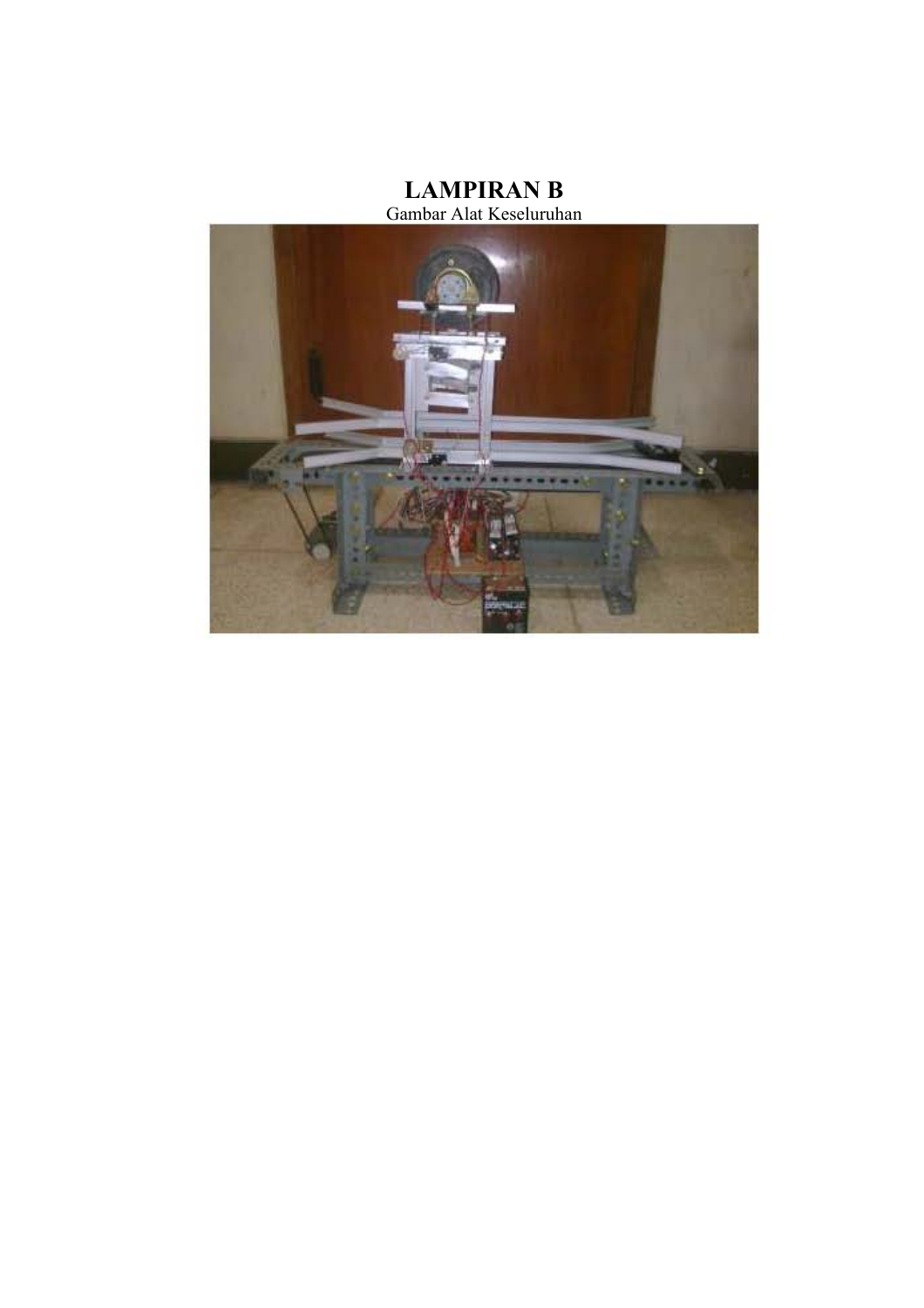## LAMPIRAN B



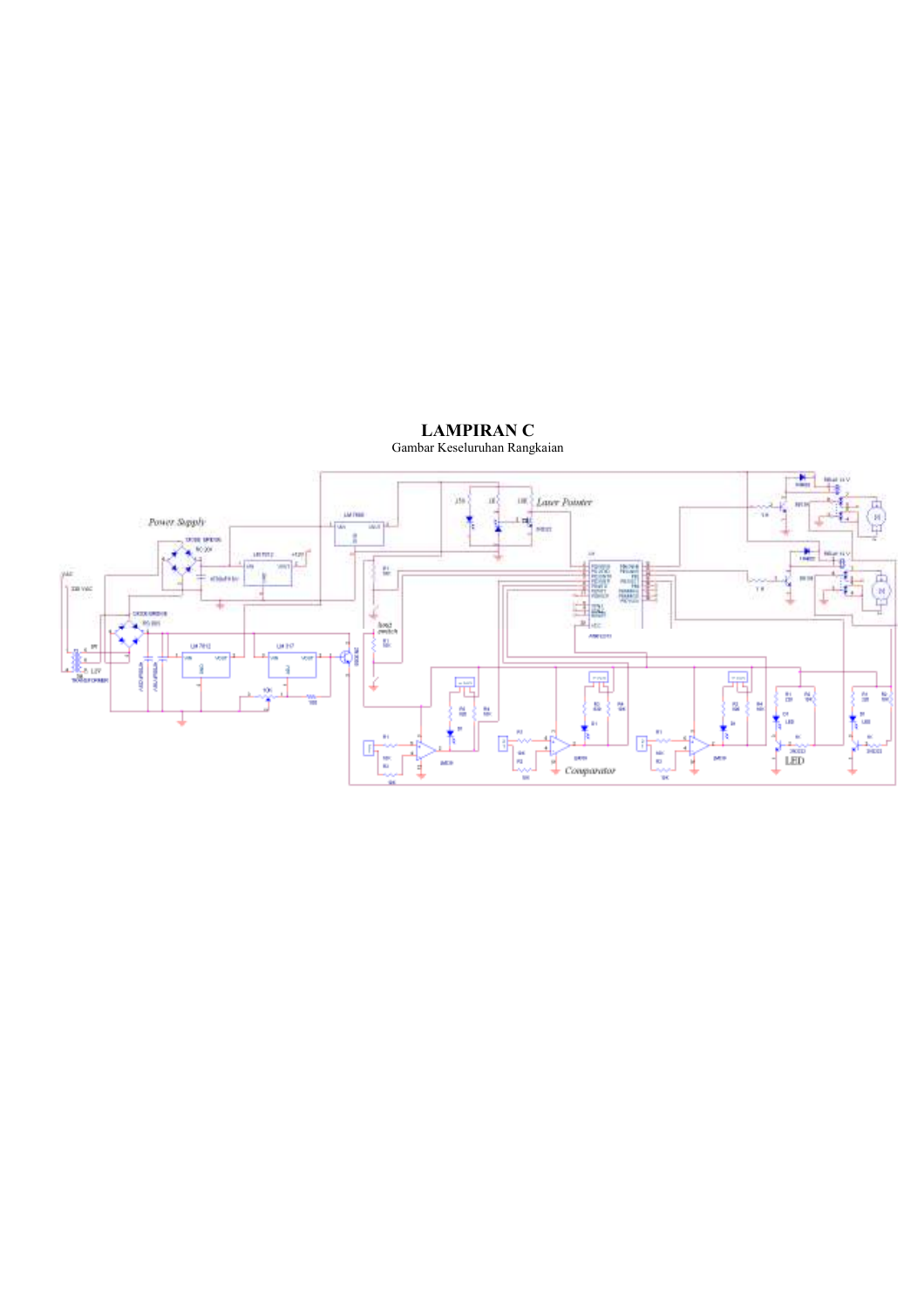

## LAMPIRAN C